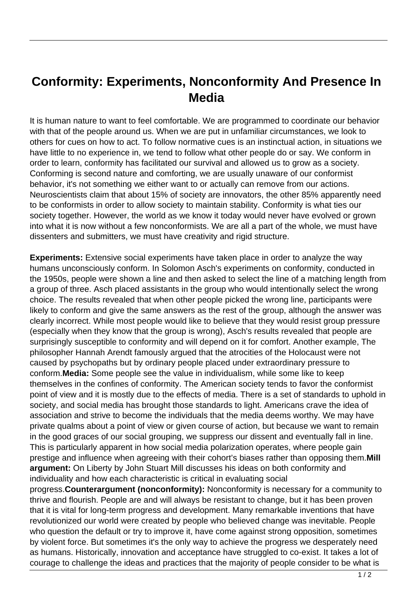## **Conformity: Experiments, Nonconformity And Presence In Media**

It is human nature to want to feel comfortable. We are programmed to coordinate our behavior with that of the people around us. When we are put in unfamiliar circumstances, we look to others for cues on how to act. To follow normative cues is an instinctual action, in situations we have little to no experience in, we tend to follow what other people do or say. We conform in order to learn, conformity has facilitated our survival and allowed us to grow as a society. Conforming is second nature and comforting, we are usually unaware of our conformist behavior, it's not something we either want to or actually can remove from our actions. Neuroscientists claim that about 15% of society are innovators, the other 85% apparently need to be conformists in order to allow society to maintain stability. Conformity is what ties our society together. However, the world as we know it today would never have evolved or grown into what it is now without a few nonconformists. We are all a part of the whole, we must have dissenters and submitters, we must have creativity and rigid structure.

**Experiments:** Extensive social experiments have taken place in order to analyze the way humans unconsciously conform. In Solomon Asch's experiments on conformity, conducted in the 1950s, people were shown a line and then asked to select the line of a matching length from a group of three. Asch placed assistants in the group who would intentionally select the wrong choice. The results revealed that when other people picked the wrong line, participants were likely to conform and give the same answers as the rest of the group, although the answer was clearly incorrect. While most people would like to believe that they would resist group pressure (especially when they know that the group is wrong), Asch's results revealed that people are surprisingly susceptible to conformity and will depend on it for comfort. Another example, The philosopher Hannah Arendt famously argued that the atrocities of the Holocaust were not caused by psychopaths but by ordinary people placed under extraordinary pressure to conform.**Media:** Some people see the value in individualism, while some like to keep themselves in the confines of conformity. The American society tends to favor the conformist point of view and it is mostly due to the effects of media. There is a set of standards to uphold in society, and social media has brought those standards to light. Americans crave the idea of association and strive to become the individuals that the media deems worthy. We may have private qualms about a point of view or given course of action, but because we want to remain in the good graces of our social grouping, we suppress our dissent and eventually fall in line. This is particularly apparent in how social media polarization operates, where people gain prestige and influence when agreeing with their cohort's biases rather than opposing them.**Mill argument:** On Liberty by John Stuart Mill discusses his ideas on both conformity and individuality and how each characteristic is critical in evaluating social progress.**Counterargument (nonconformity):** Nonconformity is necessary for a community to thrive and flourish. People are and will always be resistant to change, but it has been proven that it is vital for long-term progress and development. Many remarkable inventions that have revolutionized our world were created by people who believed change was inevitable. People who question the default or try to improve it, have come against strong opposition, sometimes by violent force. But sometimes it's the only way to achieve the progress we desperately need

as humans. Historically, innovation and acceptance have struggled to co-exist. It takes a lot of courage to challenge the ideas and practices that the majority of people consider to be what is